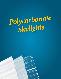# *Polycarbonate Skylights*

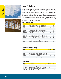



# **Sunsky® Skylights**

SunSky corrugated polycarbonate panels stand up to punishing exterior applications and offer multiple advantages over traditional fiberglass corrugated panels. SunSky provides up to 20 times greater impact resistance, warranted protection against yellowing, excellent load ratings, and the highest resistance to wind uplift–outstanding properties confirmed by independent laboratory tests and in installations worldwide since 1984. SunSky is available in soft white for maximum light transmission without glare, as well as clear and a range of colors to filter light or reduce heat loads.

#### **ABM Profile Skylight**

| <b>Description</b>                                    | <b>Coverage</b> | Length                                                                                                                                                                                                                                                                                                                                                                                                                                                                                                                                                                            |
|-------------------------------------------------------|-----------------|-----------------------------------------------------------------------------------------------------------------------------------------------------------------------------------------------------------------------------------------------------------------------------------------------------------------------------------------------------------------------------------------------------------------------------------------------------------------------------------------------------------------------------------------------------------------------------------|
| Clear Polycarbonate Skylight - 90% Light Transmission | 36"             | 8'                                                                                                                                                                                                                                                                                                                                                                                                                                                                                                                                                                                |
| Clear Polycarbonate Skylight - 90% Light Transmission | 36"             | 10'                                                                                                                                                                                                                                                                                                                                                                                                                                                                                                                                                                               |
| Clear Polycarbonate Skylight - 90% Light Transmission | 36"             | 12                                                                                                                                                                                                                                                                                                                                                                                                                                                                                                                                                                                |
| Clear Polycarbonate Skylight - 90% Light Transmission | 36"             | 14'                                                                                                                                                                                                                                                                                                                                                                                                                                                                                                                                                                               |
| Clear Polycarbonate Skylight - 90% Light Transmission | 36"             | 16'                                                                                                                                                                                                                                                                                                                                                                                                                                                                                                                                                                               |
|                                                       | 36"             | 8'                                                                                                                                                                                                                                                                                                                                                                                                                                                                                                                                                                                |
|                                                       | 36"             | 10'                                                                                                                                                                                                                                                                                                                                                                                                                                                                                                                                                                               |
|                                                       | 36"             | 12"                                                                                                                                                                                                                                                                                                                                                                                                                                                                                                                                                                               |
|                                                       | 36"             | 14'                                                                                                                                                                                                                                                                                                                                                                                                                                                                                                                                                                               |
|                                                       | 36"             | 16'                                                                                                                                                                                                                                                                                                                                                                                                                                                                                                                                                                               |
|                                                       | 36"             | 8'                                                                                                                                                                                                                                                                                                                                                                                                                                                                                                                                                                                |
|                                                       | 36"             | 10'                                                                                                                                                                                                                                                                                                                                                                                                                                                                                                                                                                               |
|                                                       | 36"             | 12"                                                                                                                                                                                                                                                                                                                                                                                                                                                                                                                                                                               |
|                                                       | 36"             | 12                                                                                                                                                                                                                                                                                                                                                                                                                                                                                                                                                                                |
|                                                       |                 | Soft White Polycarbonate Skylight - 85% Light Transmission<br>Soft White Polycarbonate Skylight - 85% Light Transmission<br>Soft White Polycarbonate Skylight - 85% Light Transmission<br>Soft White Polycarbonate Skylight - 85% Light Transmission<br>Soft White Polycarbonate Skylight - 85% Light Transmission<br>White (Opal) Polycarbonate Skylight - 45% Light Transmission<br>White (Opal) Polycarbonate Skylight - 45% Light Transmission<br>White (Opal) Polycarbonate Skylight - 45% Light Transmission<br>Solar Gray Polycarbonate Skylight - 35 % Light Transmission |

#### **Miscellaneous Profile Skylight**

| Part#                          | <b>Description</b>                                         | <b>Coverage</b> | Length |
|--------------------------------|------------------------------------------------------------|-----------------|--------|
| SK <sub>5</sub> V <sub>8</sub> | 5V Crimp Skylite For 24" Coverage Clear Polycarbonate      | 24"             | 8'     |
| <b>SK5V12</b>                  | 5V Crimp Skylite For 24" Coverage Clear Polycarbonate      | 24"             | 12"    |
| SKCD8                          | Clear Polycarbonate Skylight For Everdrain Profile 6" Ribs | 36"             | 8'     |
| SKCD <sub>10</sub>             | Clear Polycarbonate Skylight For Everdrain Profile 6" Ribs | 36"             | 10'    |
| SKCD <sub>12</sub>             | Clear Polycarbonate Skylight For Everdrain Profile 6" Ribs | 36"             | 12"    |
| SKCOR <sub>125</sub>           | Clear Polycarbonate Skylite 1.25" Corrugated               | 24"             | 12"    |

#### **PBR Skylight**

| Part#     | <b>Description</b>                                    | Coverage | Length       |
|-----------|-------------------------------------------------------|----------|--------------|
| SKSTRCL8  | Clear Polycarbonate Skylite 1mm Thick 12" Rib Spacing | 36"      | 8'           |
| SKSTRCL10 | Clear Polycarbonate Skylite 1mm Thick 12" Rib Spacing | 36"      | $10^{\circ}$ |
| SKSTRCL12 | Clear Polycarbonate Skylite 1mm Thick 12" Rib Spacing | 36"      | 12"          |
| SKSTRSW12 | Soft White Polycarbonate PBR 85% Light Transmission   |          | $12^{\circ}$ |
| SKSTRW12  | White (Opal) Polycarbonate PBR 12" Ribs               |          | 12"          |